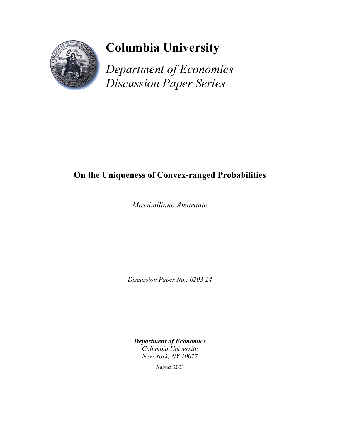

# **Columbia University**

*Department of Economics Discussion Paper Series*

## **On the Uniqueness of Convex-ranged Probabilities**

*Massimiliano Amarante* 

*Discussion Paper No.: 0203-24* 

*Department of Economics Columbia University New York, NY 10027* 

August 2003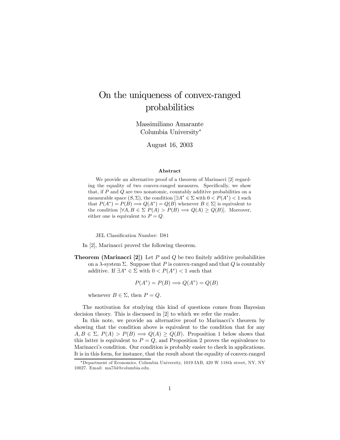### On the uniqueness of convex-ranged probabilities

Massimiliano Amarante Columbia University<sup>∗</sup>

August 16, 2003

#### Abstract

We provide an alternative proof of a theorem of Marinacci [2] regarding the equality of two convex-ranged measures. Specifically, we show that, if  $P$  and  $Q$  are two nonatomic, countably additive probabilities on a measurable space  $(S, \Sigma)$ , the condition  $\exists A^* \in \Sigma$  with  $0 < P(A^*) < 1$  such that  $P(A^*) = P(B) \Longrightarrow Q(A^*) = Q(B)$  whenever  $B \in \Sigma$  is equivalent to the condition  $[\forall A, B \in \Sigma \ P(A) > P(B) \Longrightarrow Q(A) \geq Q(B)$ . Moreover, either one is equivalent to  $P = Q$ .

JEL Classification Number: D81

In [2], Marinacci proved the following theorem.

**Theorem (Marinacci [2])** Let  $P$  and  $Q$  be two finitely additive probabilities on a  $\lambda$ -system  $\Sigma$ . Suppose that P is convex-ranged and that Q is countably additive. If  $\exists A^* \in \Sigma$  with  $0 < P(A^*) < 1$  such that

$$
P(A^*) = P(B) \Longrightarrow Q(A^*) = Q(B)
$$

whenever  $B \in \Sigma$ , then  $P = Q$ .

The motivation for studying this kind of questions comes from Bayesian decision theory. This is discussed in [2] to which we refer the reader.

In this note, we provide an alternative proof to Marinacci's theorem by showing that the condition above is equivalent to the condition that for any  $A, B \in \Sigma$ ,  $P(A) > P(B) \Longrightarrow Q(A) \geq Q(B)$ . Proposition 1 below shows that this latter is equivalent to  $P = Q$ , and Proposition 2 proves the equivalence to Marinacci's condition. Our condition is probably easier to check in applications. It is in this form, for instance, that the result about the equality of convex-ranged

<sup>∗</sup>Department of Economics, Columbia University, 1019 IAB, 420 W 118th street, NY, NY 10027. Email: ma734@columbia.edu.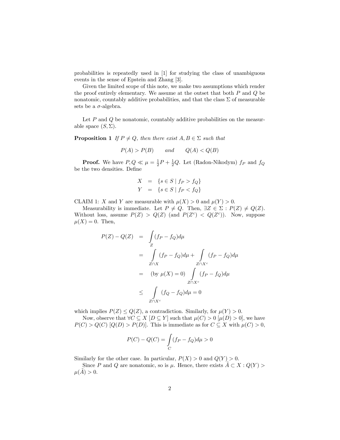probabilities is repeatedly used in [1] for studying the class of unambiguous events in the sense of Epstein and Zhang [3].

Given the limited scope of this note, we make two assumptions which render the proof entirely elementary. We assume at the outset that both  $P$  and  $Q$  be nonatomic, countably additive probabilities, and that the class  $\Sigma$  of measurable sets be a  $\sigma$ -algebra.

Let  $P$  and  $Q$  be nonatomic, countably additive probabilities on the measurable space  $(S, \Sigma)$ .

**Proposition 1** If  $P \neq Q$ , then there exist  $A, B \in \Sigma$  such that

$$
P(A) > P(B) \qquad \text{and} \qquad Q(A) < Q(B)
$$

**Proof.** We have  $P, Q \ll \mu = \frac{1}{2}P + \frac{1}{2}Q$ . Let (Radon-Nikodym)  $f_P$  and  $f_Q$ be the two densities. Define

$$
X = \{ s \in S \mid f_P > f_Q \}
$$
  

$$
Y = \{ s \in S \mid f_P < f_Q \}
$$

CLAIM 1: X and Y are measurable with  $\mu(X) > 0$  and  $\mu(Y) > 0$ .

Measurability is immediate. Let  $P \neq Q$ . Then,  $\exists Z \in \Sigma : P(Z) \neq Q(Z)$ . Without loss, assume  $P(Z) > Q(Z)$  (and  $P(Z<sup>c</sup>) < Q(Z<sup>c</sup>)$ ). Now, suppose  $\mu(X)=0$ . Then,

$$
P(Z) - Q(Z) = \int_{Z} (f_P - f_Q)d\mu
$$
  
= 
$$
\int_{Z \cap X} (f_P - f_Q)d\mu + \int_{Z \cap X^c} (f_P - f_Q)d\mu
$$
  
= 
$$
(\text{by } \mu(X) = 0) \int_{Z \cap X^c} (f_P - f_Q)d\mu
$$
  

$$
\leq \int_{Z \cap X^c} (f_Q - f_Q)d\mu = 0
$$

which implies  $P(Z) \leq Q(Z)$ , a contradiction. Similarly, for  $\mu(Y) > 0$ .

Now, observe that  $\forall C \subseteq X \mid D \subseteq Y$  such that  $\mu(C) > 0 \mid \mu(D) > 0$ , we have  $P(C) > Q(C)$  [Q(D) > P(D)]. This is immediate as for  $C \subseteq X$  with  $\mu(C) > 0$ ,

$$
P(C) - Q(C) = \int_{C} (f_P - f_Q) d\mu > 0
$$

Similarly for the other case. In particular,  $P(X) > 0$  and  $Q(Y) > 0$ .

Since P and Q are nonatomic, so is  $\mu$ . Hence, there exists  $A \subset X : Q(Y)$  $\mu(A) > 0.$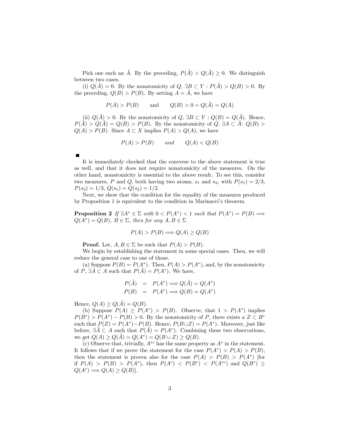Pick one such an  $\tilde{A}$ . By the preceding,  $P(\tilde{A}) > Q(\tilde{A}) \geq 0$ . We distinguish between two cases.

(i)  $Q(\tilde{A})=0$ . By the nonatomicity of  $Q, \exists B \subset Y : P(\tilde{A}) > Q(B) > 0$ . By the preceding,  $Q(B) > P(B)$ . By setting  $A = \overline{A}$ , we have

$$
P(A) > P(B)
$$
 and  $Q(B) > 0 = Q(\tilde{A}) = Q(A)$ 

(ii)  $Q(A) > 0$ . By the nonatomicity of  $Q$ ,  $\exists B \subset Y : Q(B) = Q(A)$ . Hence,  $P(A) > Q(A) = Q(B) > P(B)$ . By the nonatomicity of  $Q$ ,  $\exists A \subset A: Q(B) >$  $Q(A) > P(B)$ . Since  $A \subset X$  implies  $P(A) > Q(A)$ , we have

$$
P(A) > P(B) \qquad \text{and} \qquad Q(A) < Q(B)
$$

It is immediately checked that the converse to the above statement is true as well, and that it does not require nonatomicity of the measures. On the other hand, nonatomicity is essential to the above result. To see this, consider two measures, P and Q, both having two atoms,  $s_1$  and  $s_2$ , with  $P(s_1)=2/3$ ,  $P(s_2)=1/3, Q(s_1)=Q(s_2)=1/2.$ 

Next, we show that the condition for the equality of the measures produced by Proposition 1 is equivalent to the condition in Marinacci's theorem.

**Proposition 2** If  $\exists A^* \in \Sigma$  with  $0 < P(A^*) < 1$  such that  $P(A^*) = P(B) \Longrightarrow$  $Q(A^*) = Q(B)$ ,  $B \in \Sigma$ , then for any  $A, B \in \Sigma$ 

$$
P(A) > P(B) \Longrightarrow Q(A) \ge Q(B)
$$

**Proof.** Let,  $A, B \in \Sigma$  be such that  $P(A) > P(B)$ .

We begin by establishing the statement in some special cases. Then, we will reduce the general case to one of those.

(a) Suppose  $P(B) = P(A^*)$ . Then,  $P(A) > P(A^*)$ , and, by the nonatomicity of P,  $\exists \tilde{A} \subset A$  such that  $P(\tilde{A}) = P(A^*)$ . We have,

$$
P(\tilde{A}) = P(A^*) \Longrightarrow Q(\tilde{A}) = Q(A^*)
$$
  

$$
P(B) = P(A^*) \Longrightarrow Q(B) = Q(A^*)
$$

Hence,  $Q(A) \ge Q(A) = Q(B)$ .

(b) Suppose  $P(A) \ge P(A^*) > P(B)$ . Observe, that  $1 > P(A^*)$  implies  $P(B<sup>c</sup>) > P(A<sup>*</sup>) - P(B) > 0$ . By the nonatomicity of P, there exists a  $Z \subset B<sup>c</sup>$ such that  $P(Z) = P(A^*) - P(B)$ . Hence,  $P(B \cup Z) = P(A^*)$ . Moreover, just like before,  $\exists \tilde{A} \subset A$  such that  $P(\tilde{A}) = P(A^*)$ . Combining these two observations, we get  $Q(A) \ge Q(A) = Q(A^*) = Q(B \cup Z) \ge Q(B)$ .

(c) Observe that, trivially,  $A^{*c}$  has the same property as  $A^*$  in the statement. It follows that if we prove the statement for the case  $P(A^*) > P(A) > P(B)$ , then the statement is proven also for the case  $P(A) > P(B) > P(A^*)$  [for if  $P(A) > P(B) > P(A^*)$ , then  $P(A^c) < P(B^c) < P(A^{*c})$  and  $Q(B^c) \ge$  $Q(A^c) \Longrightarrow Q(A) \geq Q(B)$ .